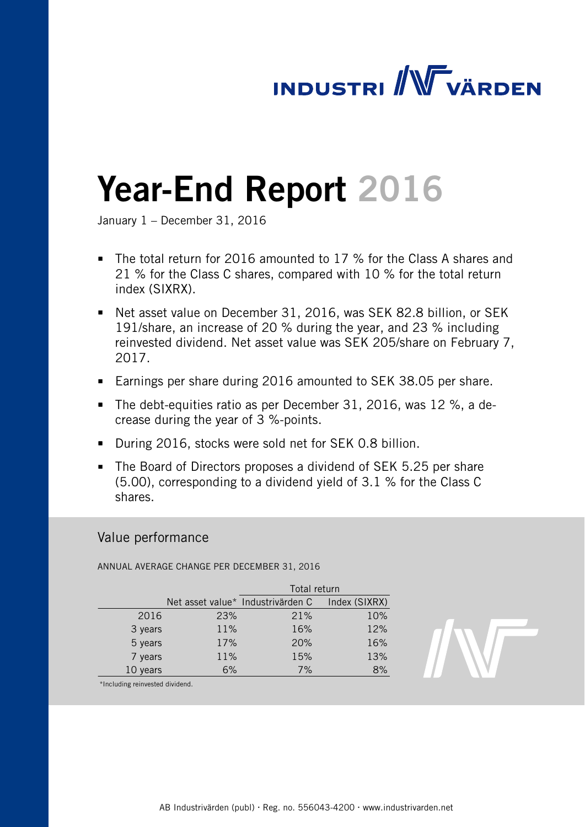# **INDUSTRI / WWW VÄRDEN**

# Year-End Report 2016

January 1 – December 31, 2016

- The total return for 2016 amounted to 17 % for the Class A shares and 21 % for the Class C shares, compared with 10 % for the total return index (SIXRX).
- Net asset value on December 31, 2016, was SEK 82.8 billion, or SEK 191/share, an increase of 20 % during the year, and 23 % including reinvested dividend. Net asset value was SEK 205/share on February 7, 2017.
- Earnings per share during 2016 amounted to SEK 38.05 per share.
- The debt-equities ratio as per December 31, 2016, was 12 %, a decrease during the year of 3 %-points.
- During 2016, stocks were sold net for SEK 0.8 billion.
- The Board of Directors proposes a dividend of SEK 5.25 per share (5.00), corresponding to a dividend yield of 3.1 % for the Class C shares.

# Value performance

ANNUAL AVERAGE CHANGE PER DECEMBER 31, 2016

|          |     | Total return                      |               |  |
|----------|-----|-----------------------------------|---------------|--|
|          |     | Net asset value* Industrivärden C | Index (SIXRX) |  |
| 2016     | 23% | 21%                               | 10%           |  |
| 3 years  | 11% | 16%                               | 12%           |  |
| 5 years  | 17% | 20%                               | 16%           |  |
| 7 years  | 11% | 15%                               | 13%           |  |
| 10 years | 6%  | 7%                                | 8%            |  |
|          |     |                                   |               |  |



\*Including reinvested dividend.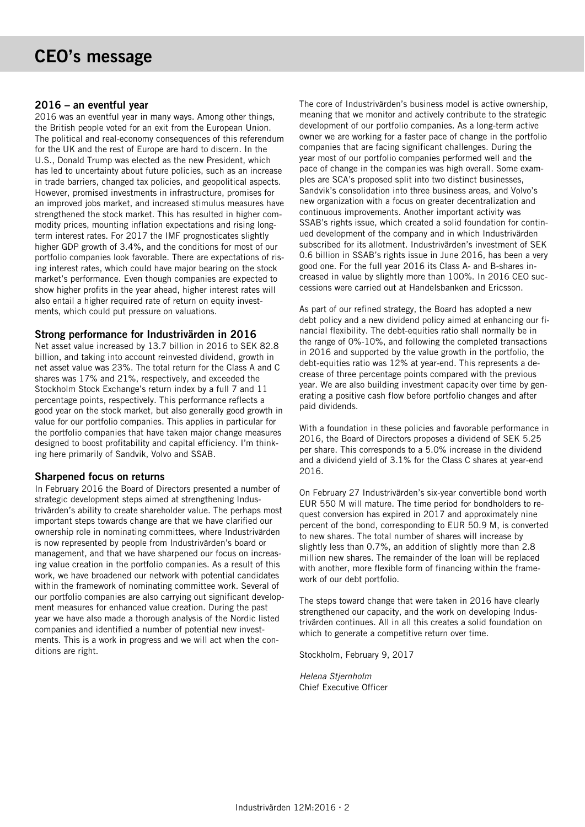### 2016 – an eventful year

2016 was an eventful year in many ways. Among other things, the British people voted for an exit from the European Union. The political and real-economy consequences of this referendum for the UK and the rest of Europe are hard to discern. In the U.S., Donald Trump was elected as the new President, which has led to uncertainty about future policies, such as an increase in trade barriers, changed tax policies, and geopolitical aspects. However, promised investments in infrastructure, promises for an improved jobs market, and increased stimulus measures have strengthened the stock market. This has resulted in higher commodity prices, mounting inflation expectations and rising longterm interest rates. For 2017 the IMF prognosticates slightly higher GDP growth of 3.4%, and the conditions for most of our portfolio companies look favorable. There are expectations of rising interest rates, which could have major bearing on the stock market's performance. Even though companies are expected to show higher profits in the year ahead, higher interest rates will also entail a higher required rate of return on equity investments, which could put pressure on valuations.

# Strong performance for Industrivärden in 2016

Net asset value increased by 13.7 billion in 2016 to SEK 82.8 billion, and taking into account reinvested dividend, growth in net asset value was 23%. The total return for the Class A and C shares was 17% and 21%, respectively, and exceeded the Stockholm Stock Exchange's return index by a full 7 and 11 percentage points, respectively. This performance reflects a good year on the stock market, but also generally good growth in value for our portfolio companies. This applies in particular for the portfolio companies that have taken major change measures designed to boost profitability and capital efficiency. I'm thinking here primarily of Sandvik, Volvo and SSAB.

# Sharpened focus on returns

In February 2016 the Board of Directors presented a number of strategic development steps aimed at strengthening Industrivärden's ability to create shareholder value. The perhaps most important steps towards change are that we have clarified our ownership role in nominating committees, where Industrivärden is now represented by people from Industrivärden's board or management, and that we have sharpened our focus on increasing value creation in the portfolio companies. As a result of this work, we have broadened our network with potential candidates within the framework of nominating committee work. Several of our portfolio companies are also carrying out significant development measures for enhanced value creation. During the past year we have also made a thorough analysis of the Nordic listed companies and identified a number of potential new investments. This is a work in progress and we will act when the conditions are right.

The core of Industrivärden's business model is active ownership, meaning that we monitor and actively contribute to the strategic development of our portfolio companies. As a long-term active owner we are working for a faster pace of change in the portfolio companies that are facing significant challenges. During the year most of our portfolio companies performed well and the pace of change in the companies was high overall. Some examples are SCA's proposed split into two distinct businesses, Sandvik's consolidation into three business areas, and Volvo's new organization with a focus on greater decentralization and continuous improvements. Another important activity was SSAB's rights issue, which created a solid foundation for continued development of the company and in which Industrivärden subscribed for its allotment. Industrivärden's investment of SEK 0.6 billion in SSAB's rights issue in June 2016, has been a very good one. For the full year 2016 its Class A- and B-shares increased in value by slightly more than 100%. In 2016 CEO successions were carried out at Handelsbanken and Ericsson.

As part of our refined strategy, the Board has adopted a new debt policy and a new dividend policy aimed at enhancing our financial flexibility. The debt-equities ratio shall normally be in the range of 0%-10%, and following the completed transactions in 2016 and supported by the value growth in the portfolio, the debt-equities ratio was 12% at year-end. This represents a decrease of three percentage points compared with the previous year. We are also building investment capacity over time by generating a positive cash flow before portfolio changes and after paid dividends.

With a foundation in these policies and favorable performance in 2016, the Board of Directors proposes a dividend of SEK 5.25 per share. This corresponds to a 5.0% increase in the dividend and a dividend yield of 3.1% for the Class C shares at year-end 2016.

On February 27 Industrivärden's six-year convertible bond worth EUR 550 M will mature. The time period for bondholders to request conversion has expired in 2017 and approximately nine percent of the bond, corresponding to EUR 50.9 M, is converted to new shares. The total number of shares will increase by slightly less than 0.7%, an addition of slightly more than 2.8 million new shares. The remainder of the loan will be replaced with another, more flexible form of financing within the framework of our debt portfolio.

The steps toward change that were taken in 2016 have clearly strengthened our capacity, and the work on developing Industrivärden continues. All in all this creates a solid foundation on which to generate a competitive return over time.

Stockholm, February 9, 2017

Helena Stjernholm Chief Executive Officer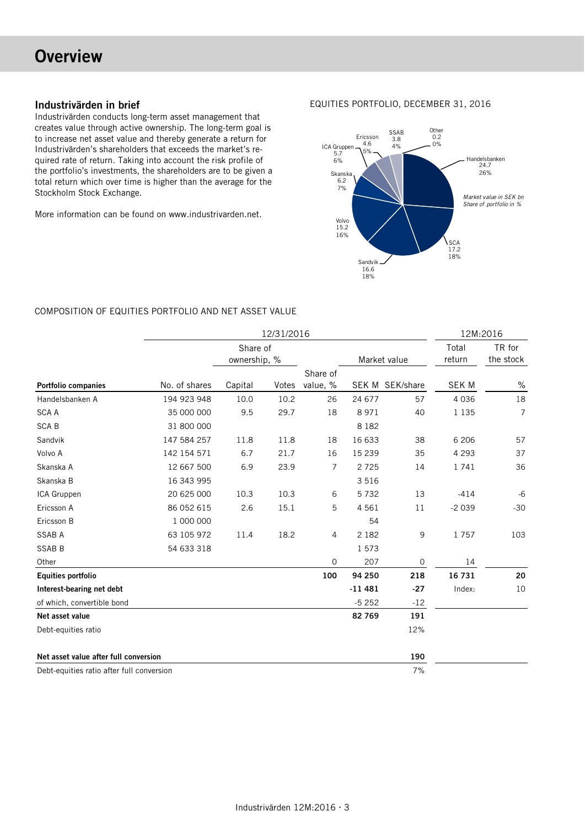# **Overview**

# Industrivärden in brief

Industrivärden conducts long-term asset management that creates value through active ownership. The long-term goal is to increase net asset value and thereby generate a return for Industrivärden's shareholders that exceeds the market's required rate of return. Taking into account the risk profile of the portfolio's investments, the shareholders are to be given a total return which over time is higher than the average for the Stockholm Stock Exchange.

More information can be found on www.industrivarden.net.

EQUITIES PORTFOLIO, DECEMBER 31, 2016



#### COMPOSITION OF EQUITIES PORTFOLIO AND NET ASSET VALUE

|                                           |               |                          | 12/31/2016 |                |          |                 |                 | 12M:2016            |
|-------------------------------------------|---------------|--------------------------|------------|----------------|----------|-----------------|-----------------|---------------------|
|                                           |               | Share of<br>ownership, % |            |                |          | Market value    | Total<br>return | TR for<br>the stock |
|                                           |               |                          |            | Share of       |          |                 |                 |                     |
| <b>Portfolio companies</b>                | No. of shares | Capital                  | Votes      | value, %       |          | SEK M SEK/share | <b>SEK M</b>    | $\%$                |
| Handelsbanken A                           | 194 923 948   | 10.0                     | 10.2       | 26             | 24 677   | 57              | 4 0 3 6         | 18                  |
| <b>SCA A</b>                              | 35 000 000    | 9.5                      | 29.7       | 18             | 8 9 7 1  | 40              | 1 1 3 5         | $\overline{7}$      |
| <b>SCAB</b>                               | 31 800 000    |                          |            |                | 8 1 8 2  |                 |                 |                     |
| Sandvik                                   | 147 584 257   | 11.8                     | 11.8       | 18             | 16 633   | 38              | 6 20 6          | 57                  |
| Volvo A                                   | 142 154 571   | 6.7                      | 21.7       | 16             | 15 2 39  | 35              | 4 2 9 3         | 37                  |
| Skanska A                                 | 12 667 500    | 6.9                      | 23.9       | $\overline{7}$ | 2725     | 14              | 1741            | 36                  |
| Skanska B                                 | 16 343 995    |                          |            |                | 3 5 1 6  |                 |                 |                     |
| ICA Gruppen                               | 20 625 000    | 10.3                     | 10.3       | 6              | 5732     | 13              | $-414$          | $-6$                |
| Ericsson A                                | 86 052 615    | 2.6                      | 15.1       | 5              | 4 5 6 1  | 11              | $-2039$         | $-30$               |
| Ericsson B                                | 1 000 000     |                          |            |                | 54       |                 |                 |                     |
| <b>SSAB A</b>                             | 63 105 972    | 11.4                     | 18.2       | 4              | 2 1 8 2  | 9               | 1757            | 103                 |
| <b>SSAB B</b>                             | 54 633 318    |                          |            |                | 1 573    |                 |                 |                     |
| Other                                     |               |                          |            | 0              | 207      | 0               | 14              |                     |
| <b>Equities portfolio</b>                 |               |                          |            | 100            | 94 250   | 218             | 16 731          | 20                  |
| Interest-bearing net debt                 |               |                          |            |                | $-11481$ | $-27$           | Index:          | 10                  |
| of which, convertible bond                |               |                          |            |                | $-5252$  | $-12$           |                 |                     |
| Net asset value                           |               |                          |            |                | 82 769   | 191             |                 |                     |
| Debt-equities ratio                       |               |                          |            |                |          | 12%             |                 |                     |
| Net asset value after full conversion     |               |                          |            |                |          | 190             |                 |                     |
| Debt-equities ratio after full conversion |               |                          |            |                |          | 7%              |                 |                     |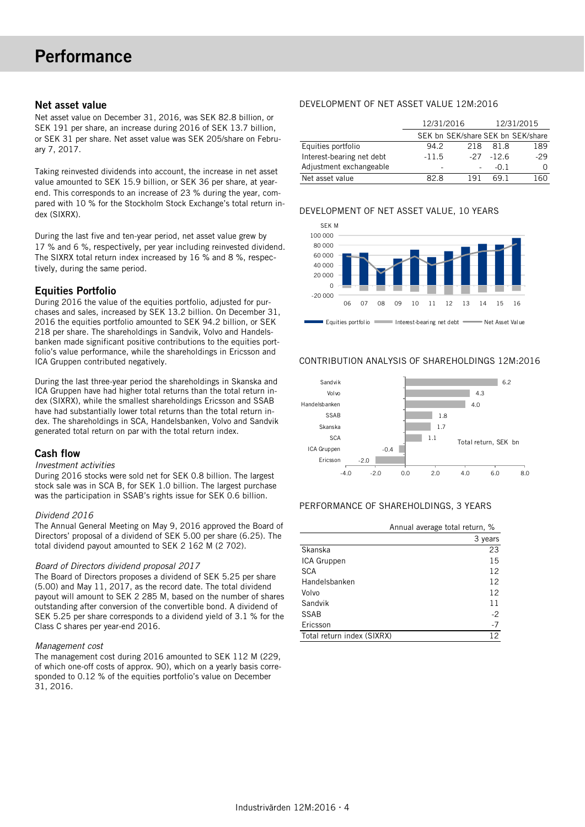#### Net asset value

Net asset value on December 31, 2016, was SEK 82.8 billion, or SEK 191 per share, an increase during 2016 of SEK 13.7 billion, or SEK 31 per share. Net asset value was SEK 205/share on February 7, 2017.

Taking reinvested dividends into account, the increase in net asset value amounted to SEK 15.9 billion, or SEK 36 per share, at yearend. This corresponds to an increase of 23 % during the year, compared with 10 % for the Stockholm Stock Exchange's total return index (SIXRX).

During the last five and ten-year period, net asset value grew by 17 % and 6 %, respectively, per year including reinvested dividend. The SIXRX total return index increased by 16 % and 8 %, respectively, during the same period.

# Equities Portfolio

During 2016 the value of the equities portfolio, adjusted for purchases and sales, increased by SEK 13.2 billion. On December 31, 2016 the equities portfolio amounted to SEK 94.2 billion, or SEK 218 per share. The shareholdings in Sandvik, Volvo and Handelsbanken made significant positive contributions to the equities portfolio's value performance, while the shareholdings in Ericsson and ICA Gruppen contributed negatively.

During the last three-year period the shareholdings in Skanska and ICA Gruppen have had higher total returns than the total return index (SIXRX), while the smallest shareholdings Ericsson and SSAB have had substantially lower total returns than the total return index. The shareholdings in SCA, Handelsbanken, Volvo and Sandvik generated total return on par with the total return index.

#### Cash flow

#### Investment activities

During 2016 stocks were sold net for SEK 0.8 billion. The largest stock sale was in SCA B, for SEK 1.0 billion. The largest purchase was the participation in SSAB's rights issue for SEK 0.6 billion.

#### Dividend 2016

The Annual General Meeting on May 9, 2016 approved the Board of Directors' proposal of a dividend of SEK 5.00 per share (6.25). The total dividend payout amounted to SEK 2 162 M (2 702).

#### Board of Directors dividend proposal 2017

The Board of Directors proposes a dividend of SEK 5.25 per share (5.00) and May 11, 2017, as the record date. The total dividend payout will amount to SEK 2 285 M, based on the number of shares outstanding after conversion of the convertible bond. A dividend of SEK 5.25 per share corresponds to a dividend yield of 3.1 % for the Class C shares per year-end 2016.

#### Management cost

The management cost during 2016 amounted to SEK 112 M (229, of which one-off costs of approx. 90), which on a yearly basis corresponded to 0.12 % of the equities portfolio's value on December 31, 2016.

### DEVELOPMENT OF NET ASSET VALUE 12M:2016

|                           | 12/31/2016               |                                   | 12/31/2015 |       |
|---------------------------|--------------------------|-----------------------------------|------------|-------|
|                           |                          | SEK bn SEK/share SEK bn SEK/share |            |       |
| Equities portfolio        | 94.2                     | 218                               | 81.8       | 189   |
| Interest-bearing net debt | $-11.5$                  | $-27$                             | $-126$     | $-29$ |
| Adjustment exchangeable   | $\overline{\phantom{a}}$ |                                   | -0 1       |       |
| Net asset value           | 82 R                     | 191                               | 69 1       | .60   |

#### DEVELOPMENT OF NET ASSET VALUE, 10 YEARS



#### CONTRIBUTION ANALYSIS OF SHAREHOLDINGS 12M:2016



#### PERFORMANCE OF SHAREHOLDINGS, 3 YEARS

|                            | Annual average total return, % |
|----------------------------|--------------------------------|
|                            | 3 years                        |
| Skanska                    | 23                             |
| ICA Gruppen                | 15                             |
| <b>SCA</b>                 | 12                             |
| Handelsbanken              | 12                             |
| Volvo                      | 12                             |
| Sandvik                    | 11                             |
| <b>SSAB</b>                | $-2$                           |
| Ericsson                   | $-7$                           |
| Total return index (SIXRX) | 12                             |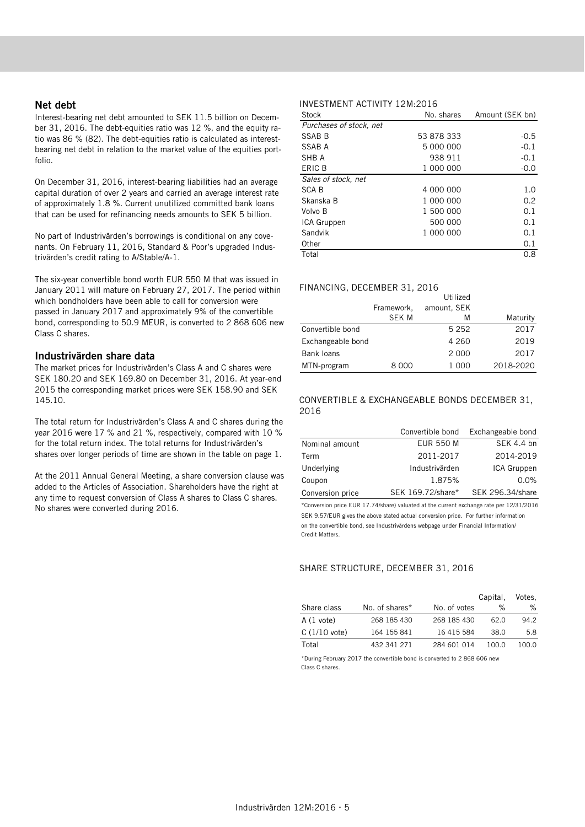#### Net debt

Interest-bearing net debt amounted to SEK 11.5 billion on December 31, 2016. The debt-equities ratio was 12 %, and the equity ratio was 86 % (82). The debt-equities ratio is calculated as interestbearing net debt in relation to the market value of the equities portfolio.

On December 31, 2016, interest-bearing liabilities had an average capital duration of over 2 years and carried an average interest rate of approximately 1.8 %. Current unutilized committed bank loans that can be used for refinancing needs amounts to SEK 5 billion.

No part of Industrivärden's borrowings is conditional on any covenants. On February 11, 2016, Standard & Poor's upgraded Industrivärden's credit rating to A/Stable/A-1.

The six-year convertible bond worth EUR 550 M that was issued in January 2011 will mature on February 27, 2017. The period within which bondholders have been able to call for conversion were passed in January 2017 and approximately 9% of the convertible bond, corresponding to 50.9 MEUR, is converted to 2 868 606 new Class C shares.

#### Industrivärden share data

The market prices for Industrivärden's Class A and C shares were SEK 180.20 and SEK 169.80 on December 31, 2016. At year-end 2015 the corresponding market prices were SEK 158.90 and SEK 145.10.

The total return for Industrivärden's Class A and C shares during the year 2016 were 17 % and 21 %, respectively, compared with 10 % for the total return index. The total returns for Industrivärden's shares over longer periods of time are shown in the table on page 1.

At the 2011 Annual General Meeting, a share conversion clause was added to the Articles of Association. Shareholders have the right at any time to request conversion of Class A shares to Class C shares. No shares were converted during 2016.

# INVESTMENT ACTIVITY 12M:2016

| Stock                   | No. shares | Amount (SEK bn) |
|-------------------------|------------|-----------------|
| Purchases of stock, net |            |                 |
| SSAB B                  | 53 878 333 | $-0.5$          |
| SSAB A                  | 5 000 000  | $-0.1$          |
| SHB A                   | 938 911    | $-0.1$          |
| ERIC B                  | 1 000 000  | $-0.0$          |
| Sales of stock, net     |            |                 |
| <b>SCAB</b>             | 4 000 000  | 1.0             |
| Skanska B               | 1 000 000  | 0.2             |
| Volvo B                 | 1 500 000  | 0.1             |
| ICA Gruppen             | 500 000    | 0.1             |
| Sandvik                 | 1 000 000  | 0.1             |
| Other                   |            | 0.1             |
| Total                   |            | 0.8             |

#### FINANCING, DECEMBER 31, 2016

|                   |            | Utilized    |           |
|-------------------|------------|-------------|-----------|
|                   | Framework, | amount, SEK |           |
|                   | SEK M      | M           | Maturity  |
| Convertible bond  |            | 5 2 5 2     | 2017      |
| Exchangeable bond |            | 4 2 6 0     | 2019      |
| Bank loans        |            | 2 0 0 0     | 2017      |
| MTN-program       | 8 000      | 1 000       | 2018-2020 |

#### CONVERTIBLE & EXCHANGEABLE BONDS DECEMBER 31, 2016

|                  | Convertible bond  | Exchangeable bond |
|------------------|-------------------|-------------------|
| Nominal amount   | <b>EUR 550 M</b>  | SEK 4.4 bn        |
| Term             | 2011-2017         | 2014-2019         |
| Underlying       | Industrivärden    | ICA Gruppen       |
| Coupon           | 1.875%            | 0.0%              |
| Conversion price | SEK 169.72/share* | SEK 296.34/share  |

\*Conversion price EUR 17.74/share) valuated at the current exchange rate per 12/31/2016 SEK 9.57/EUR gives the above stated actual conversion price. For further information on the convertible bond, see Industrivärdens webpage under Financial Information/ Credit Matters.

#### SHARE STRUCTURE, DECEMBER 31, 2016

|                     |                |              | Capital, | Votes. |
|---------------------|----------------|--------------|----------|--------|
| Share class         | No. of shares* | No. of votes | ℅        | ℅      |
| $A(1 \text{ vote})$ | 268 185 430    | 268 185 430  | 62 O     | 94.2   |
| $C(1/10$ vote)      | 164 155 841    | 16 415 584   | 38.0     | 5.8    |
| Total               | 432 341 271    | 284 601 014  | 100.O    | 100.O  |

\*During February 2017 the convertible bond is converted to 2 868 606 new Class C shares.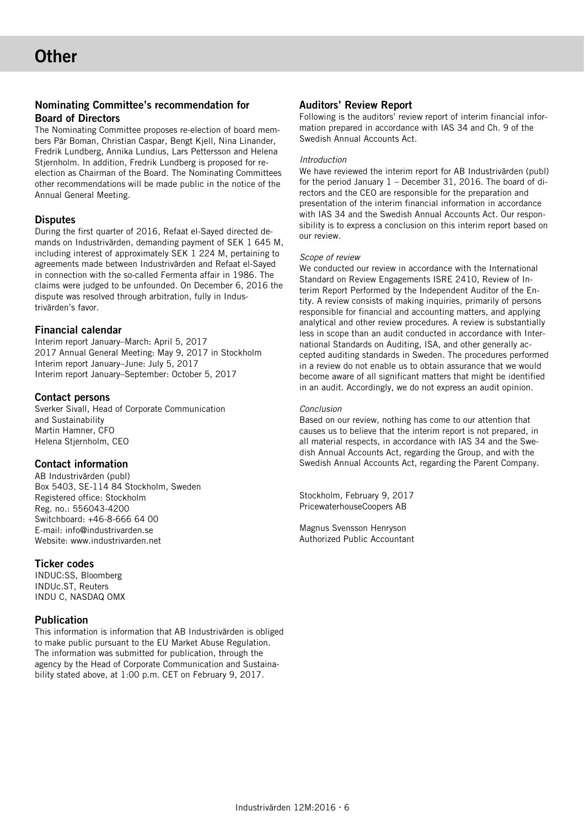# Nominating Committee's recommendation for Board of Directors

The Nominating Committee proposes re-election of board members Pär Boman, Christian Caspar, Bengt Kjell, Nina Linander, Fredrik Lundberg, Annika Lundius, Lars Pettersson and Helena Stjernholm. In addition, Fredrik Lundberg is proposed for reelection as Chairman of the Board. The Nominating Committees other recommendations will be made public in the notice of the Annual General Meeting.

# **Disputes**

During the first quarter of 2016, Refaat el-Sayed directed demands on Industrivärden, demanding payment of SEK 1 645 M, including interest of approximately SEK 1 224 M, pertaining to agreements made between Industrivärden and Refaat el-Sayed in connection with the so-called Fermenta affair in 1986. The claims were judged to be unfounded. On December 6, 2016 the dispute was resolved through arbitration, fully in Industrivärden's favor.

# Financial calendar

Interim report January–March: April 5, 2017 2017 Annual General Meeting: May 9, 2017 in Stockholm Interim report January–June: July 5, 2017 Interim report January–September: October 5, 2017

# Contact persons

Sverker Sivall, Head of Corporate Communication and Sustainability Martin Hamner, CFO Helena Stjernholm, CEO

# Contact information

AB Industrivärden (publ) Box 5403, SE-114 84 Stockholm, Sweden Registered office: Stockholm Reg. no.: 556043-4200 Switchboard: +46-8-666 64 00 E-mail: info@industrivarden.se Website: www.industrivarden.net

# Ticker codes

INDUC:SS, Bloomberg INDUc.ST, Reuters INDU C, NASDAQ OMX

# Publication

This information is information that AB Industrivärden is obliged to make public pursuant to the EU Market Abuse Regulation. The information was submitted for publication, through the agency by the Head of Corporate Communication and Sustainability stated above, at 1:00 p.m. CET on February 9, 2017.

# Auditors' Review Report

Following is the auditors' review report of interim financial information prepared in accordance with IAS 34 and Ch. 9 of the Swedish Annual Accounts Act.

#### Introduction

We have reviewed the interim report for AB Industrivärden (publ) for the period January 1 – December 31, 2016. The board of directors and the CEO are responsible for the preparation and presentation of the interim financial information in accordance with IAS 34 and the Swedish Annual Accounts Act. Our responsibility is to express a conclusion on this interim report based on our review.

#### Scope of review

We conducted our review in accordance with the International Standard on Review Engagements ISRE 2410, Review of Interim Report Performed by the Independent Auditor of the Entity. A review consists of making inquiries, primarily of persons responsible for financial and accounting matters, and applying analytical and other review procedures. A review is substantially less in scope than an audit conducted in accordance with International Standards on Auditing, ISA, and other generally accepted auditing standards in Sweden. The procedures performed in a review do not enable us to obtain assurance that we would become aware of all significant matters that might be identified in an audit. Accordingly, we do not express an audit opinion.

#### Conclusion

Based on our review, nothing has come to our attention that causes us to believe that the interim report is not prepared, in all material respects, in accordance with IAS 34 and the Swedish Annual Accounts Act, regarding the Group, and with the Swedish Annual Accounts Act, regarding the Parent Company.

Stockholm, February 9, 2017 PricewaterhouseCoopers AB

Magnus Svensson Henryson Authorized Public Accountant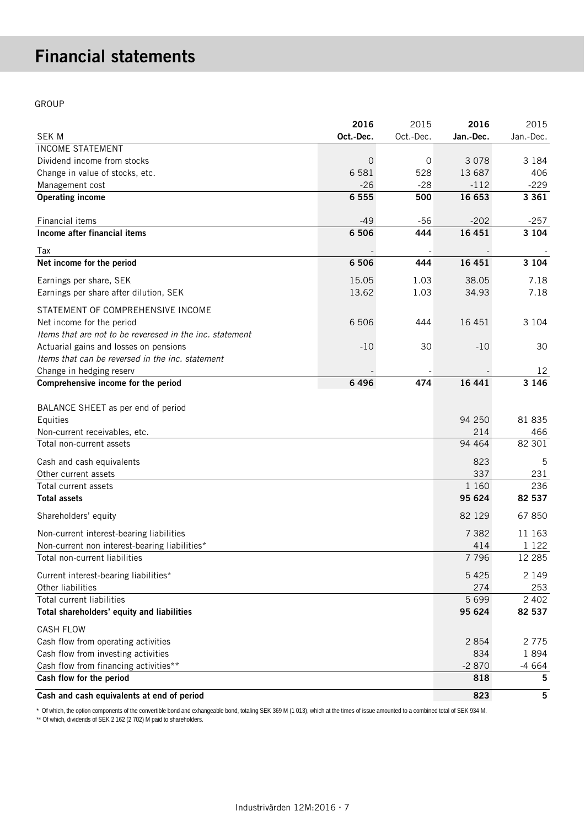# Financial statements

GROUP

|                                                          | 2016           | 2015      | 2016      | 2015      |
|----------------------------------------------------------|----------------|-----------|-----------|-----------|
| <b>SEK M</b>                                             | Oct.-Dec.      | Oct.-Dec. | Jan.-Dec. | Jan.-Dec. |
| <b>INCOME STATEMENT</b>                                  |                |           |           |           |
| Dividend income from stocks                              | $\overline{0}$ | 0         | 3 0 7 8   | 3 1 8 4   |
| Change in value of stocks, etc.                          | 6 5 8 1        | 528       | 13 687    | 406       |
| Management cost                                          | $-26$          | $-28$     | $-112$    | $-229$    |
| <b>Operating income</b>                                  | 6 5 5 5        | 500       | 16 653    | 3 3 6 1   |
|                                                          |                |           |           |           |
| Financial items                                          | $-49$          | $-56$     | $-202$    | $-257$    |
| Income after financial items                             | 6 5 0 6        | 444       | 16 451    | 3 1 0 4   |
| Tax                                                      |                |           |           |           |
| Net income for the period                                | 6 5 0 6        | 444       | 16 4 51   | 3 1 0 4   |
| Earnings per share, SEK                                  | 15.05          | 1.03      | 38.05     | 7.18      |
| Earnings per share after dilution, SEK                   | 13.62          | 1.03      | 34.93     | 7.18      |
| STATEMENT OF COMPREHENSIVE INCOME                        |                |           |           |           |
| Net income for the period                                | 6 50 6         | 444       | 16 4 51   | 3 1 0 4   |
| Items that are not to be reveresed in the inc. statement |                |           |           |           |
| Actuarial gains and losses on pensions                   | $-10$          | 30        | $-10$     | 30        |
| Items that can be reversed in the inc. statement         |                |           |           |           |
| Change in hedging reserv                                 |                |           |           | 12        |
| Comprehensive income for the period                      | 6496           | 474       | 16 441    | 3 1 4 6   |
|                                                          |                |           |           |           |
| BALANCE SHEET as per end of period                       |                |           |           |           |
| Equities                                                 |                |           | 94 250    | 81 835    |
| Non-current receivables, etc.                            |                |           | 214       | 466       |
| Total non-current assets                                 |                |           | 94 4 64   | 82 301    |
| Cash and cash equivalents                                |                |           | 823       | 5         |
| Other current assets                                     |                |           | 337       | 231       |
| Total current assets                                     |                |           | 1 1 6 0   | 236       |
| <b>Total assets</b>                                      |                |           | 95 624    | 82 537    |
| Shareholders' equity                                     |                |           | 82 129    | 67 850    |
| Non-current interest-bearing liabilities                 |                |           | 7 3 8 2   | 11 163    |
| Non-current non interest-bearing liabilities*            |                |           | 414       | 1 1 2 2   |
| Total non-current liabilities                            |                |           | 7 7 9 6   | 12 2 8 5  |
| Current interest-bearing liabilities*                    |                |           | 5425      | 2 1 4 9   |
| Other liabilities                                        |                |           | 274       | 253       |
| Total current liabilities                                |                |           | 5699      | 2 4 0 2   |
| Total shareholders' equity and liabilities               |                |           | 95 624    | 82 537    |
| <b>CASH FLOW</b>                                         |                |           |           |           |
| Cash flow from operating activities                      |                |           | 2854      | 2775      |
| Cash flow from investing activities                      |                |           | 834       | 1894      |
| Cash flow from financing activities**                    |                |           | $-2870$   | $-4664$   |
| Cash flow for the period                                 |                |           | 818       | 5         |
| Cash and cash equivalents at end of period               |                |           | 823       | 5         |

\* Of which, the option components of the convertible bond and exhangeable bond, totaling SEK 369 M (1 013), which at the times of issue amounted to a combined total of SEK 934 M.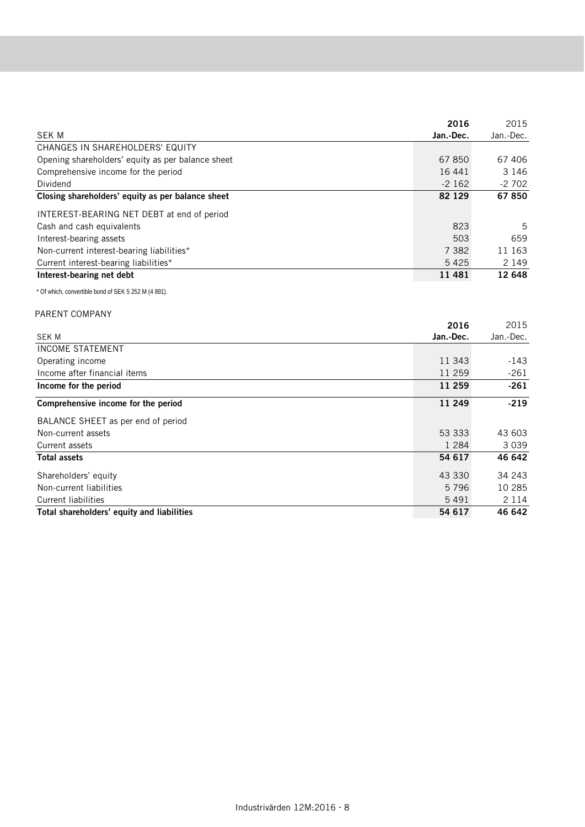|                                                      | 2016              | 2015              |
|------------------------------------------------------|-------------------|-------------------|
| <b>SEK M</b>                                         | Jan.-Dec.         | Jan.-Dec.         |
| CHANGES IN SHAREHOLDERS' EQUITY                      |                   |                   |
| Opening shareholders' equity as per balance sheet    | 67850             | 67 406            |
| Comprehensive income for the period                  | 16 44 1           | 3 1 4 6           |
| Dividend                                             | $-2162$           | $-2702$           |
| Closing shareholders' equity as per balance sheet    | 82 129            | 67850             |
| INTEREST-BEARING NET DEBT at end of period           |                   |                   |
| Cash and cash equivalents                            | 823               | 5                 |
| Interest-bearing assets                              | 503               | 659               |
| Non-current interest-bearing liabilities*            | 7 3 8 2           | 11 163            |
| Current interest-bearing liabilities*                | 5 4 2 5           | 2 1 4 9           |
| Interest-bearing net debt                            | 11 481            | 12 648            |
| * Of which, convertible bond of SEK 5 252 M (4 891). |                   |                   |
|                                                      |                   |                   |
| PARENT COMPANY                                       |                   |                   |
| <b>SEK M</b>                                         | 2016<br>Jan.-Dec. | 2015<br>Jan.-Dec. |
| <b>INCOME STATEMENT</b>                              |                   |                   |
| Operating income                                     | 11 343            | $-143$            |
| Income after financial items                         | 11 259            | $-261$            |
| Income for the period                                | 11 259            | $-261$            |
|                                                      |                   |                   |
| Comprehensive income for the period                  | 11 249            | $-219$            |
| BALANCE SHEET as per end of period                   |                   |                   |
| Non-current assets                                   | 53 333            | 43 603            |
| Current assets                                       | 1 2 8 4           | 3039              |
| <b>Total assets</b>                                  | 54 617            | 46 642            |
| Shareholders' equity                                 | 43 330            | 34 243            |
| Non-current liabilities                              | 5796              | 10 285            |
| <b>Current liabilities</b>                           | 5 4 9 1           | 2 1 1 4           |
| Total shareholders' equity and liabilities           | 54 617            | 46 642            |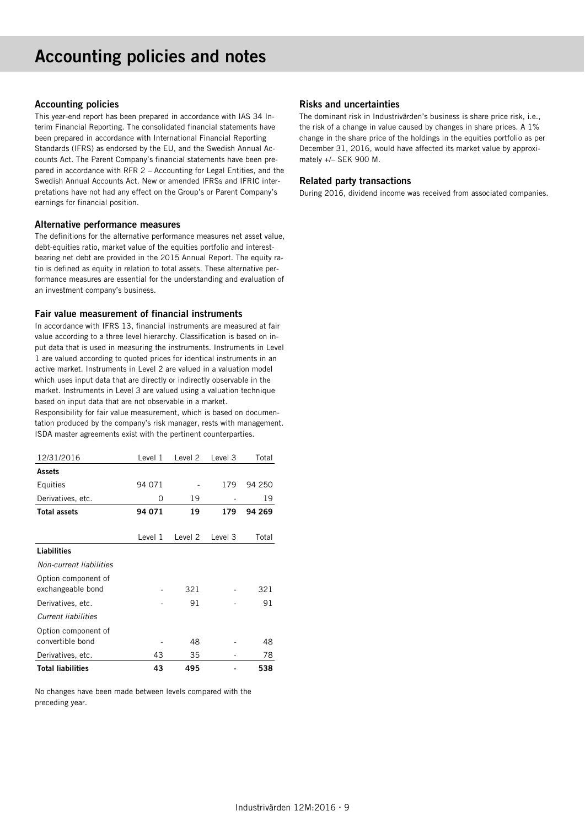# Accounting policies and notes

#### Accounting policies

This year-end report has been prepared in accordance with IAS 34 Interim Financial Reporting. The consolidated financial statements have been prepared in accordance with International Financial Reporting Standards (IFRS) as endorsed by the EU, and the Swedish Annual Accounts Act. The Parent Company's financial statements have been prepared in accordance with RFR 2 – Accounting for Legal Entities, and the Swedish Annual Accounts Act. New or amended IFRSs and IFRIC interpretations have not had any effect on the Group's or Parent Company's earnings for financial position.

#### Alternative performance measures

The definitions for the alternative performance measures net asset value, debt-equities ratio, market value of the equities portfolio and interestbearing net debt are provided in the 2015 Annual Report. The equity ratio is defined as equity in relation to total assets. These alternative performance measures are essential for the understanding and evaluation of an investment company's business.

#### Fair value measurement of financial instruments

In accordance with IFRS 13, financial instruments are measured at fair value according to a three level hierarchy. Classification is based on input data that is used in measuring the instruments. Instruments in Level 1 are valued according to quoted prices for identical instruments in an active market. Instruments in Level 2 are valued in a valuation model which uses input data that are directly or indirectly observable in the market. Instruments in Level 3 are valued using a valuation technique based on input data that are not observable in a market.

Responsibility for fair value measurement, which is based on documentation produced by the company's risk manager, rests with management. ISDA master agreements exist with the pertinent counterparties.

| 12/31/2016                               | Level 1 | Level <sub>2</sub> | Level 3 | Total  |
|------------------------------------------|---------|--------------------|---------|--------|
| <b>Assets</b>                            |         |                    |         |        |
| Equities                                 | 94 071  |                    | 179     | 94 250 |
| Derivatives, etc.                        | 0       | 19                 |         | 19     |
| <b>Total assets</b>                      | 94 071  | 19                 | 179     | 94 269 |
|                                          |         |                    |         |        |
|                                          | Level 1 | Level 2            | Level 3 | Total  |
| Liabilities                              |         |                    |         |        |
| Non-current liabilities                  |         |                    |         |        |
| Option component of<br>exchangeable bond |         | 321                |         | 321    |
| Derivatives, etc.                        |         | 91                 |         | 91     |
| Current liabilities                      |         |                    |         |        |
| Option component of<br>convertible bond  |         | 48                 |         | 48     |
| Derivatives, etc.                        | 43      | 35                 |         | 78     |
| <b>Total liabilities</b>                 | 43      | 495                |         | 538    |

No changes have been made between levels compared with the preceding year.

#### Risks and uncertainties

The dominant risk in Industrivärden's business is share price risk, i.e., the risk of a change in value caused by changes in share prices. A 1% change in the share price of the holdings in the equities portfolio as per December 31, 2016, would have affected its market value by approximately +/– SEK 900 M.

#### Related party transactions

During 2016, dividend income was received from associated companies.